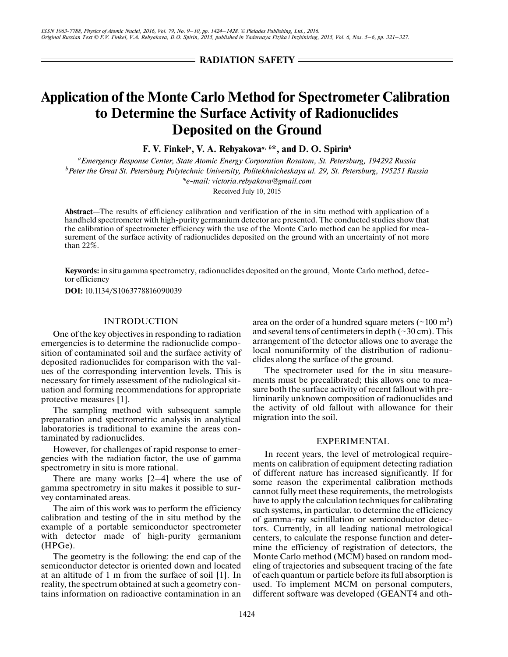$=$  RADIATION SAFETY  $=$ 

# **Application of the Monte Carlo Method for Spectrometer Calibration to Determine the Surface Activity of Radionuclides Deposited on the Ground**

**F. V. Finkel***a***, V. A. Rebyakova***a***,** *<sup>b</sup>* **\*, and D. O. Spirin***<sup>b</sup>*

*aEmergency Response Center, State Atomic Energy Corporation Rosatom, St. Petersburg, 194292 Russia b Peter the Great St. Petersburg Polytechnic University, Politekhnicheskaya ul. 29, St. Petersburg, 195251 Russia \*e-mail: victoria.rebyakova@gmail.com*

Received July 10, 2015

**Abstract**—The results of efficiency calibration and verification of the in situ method with application of a handheld spectrometer with high-purity germanium detector are presented. The conducted studies show that the calibration of spectrometer efficiency with the use of the Monte Carlo method can be applied for measurement of the surface activity of radionuclides deposited on the ground with an uncertainty of not more than 22%.

**Keywords:** in situ gamma spectrometry, radionuclides deposited on the ground, Monte Carlo method, detector efficiency

**DOI:** 10.1134/S1063778816090039

## INTRODUCTION

One of the key objectives in responding to radiation emergencies is to determine the radionuclide composition of contaminated soil and the surface activity of deposited radionuclides for comparison with the values of the corresponding intervention levels. This is necessary for timely assessment of the radiological situation and forming recommendations for appropriate protective measures [1].

The sampling method with subsequent sample preparation and spectrometric analysis in analytical laboratories is traditional to examine the areas contaminated by radionuclides.

However, for challenges of rapid response to emergencies with the radiation factor, the use of gamma spectrometry in situ is more rational.

There are many works [2–4] where the use of gamma spectrometry in situ makes it possible to survey contaminated areas.

The aim of this work was to perform the efficiency calibration and testing of the in situ method by the example of a portable semiconductor spectrometer with detector made of high-purity germanium (HPGe).

The geometry is the following: the end cap of the semiconductor detector is oriented down and located at an altitude of 1 m from the surface of soil [1]. In reality, the spectrum obtained at such a geometry contains information on radioactive contamination in an

area on the order of a hundred square meters ( $\sim$ 100 m<sup>2</sup>) and several tens of centimeters in depth  $(\sim 30 \text{ cm})$ . This arrangement of the detector allows one to average the local nonuniformity of the distribution of radionuclides along the surface of the ground.

The spectrometer used for the in situ measurements must be precalibrated; this allows one to measure both the surface activity of recent fallout with preliminarily unknown composition of radionuclides and the activity of old fallout with allowance for their migration into the soil.

### EXPERIMENTAL

In recent years, the level of metrological requirements on calibration of equipment detecting radiation of different nature has increased significantly. If for some reason the experimental calibration methods cannot fully meet these requirements, the metrologists have to apply the calculation techniques for calibrating such systems, in particular, to determine the efficiency of gamma-ray scintillation or semiconductor detectors. Currently, in all leading national metrological centers, to calculate the response function and determine the efficiency of registration of detectors, the Monte Carlo method (MCM) based on random modeling of trajectories and subsequent tracing of the fate of each quantum or particle before its full absorption is used. To implement MCM on personal computers, different software was developed (GEANT4 and oth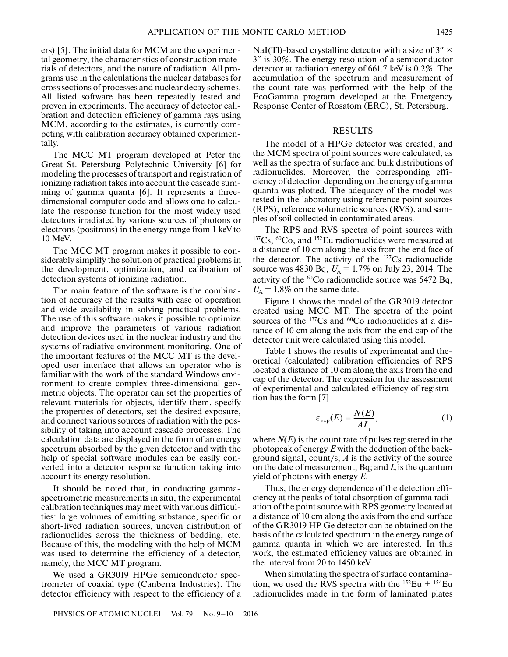ers) [5]. The initial data for MCM are the experimental geometry, the characteristics of construction materials of detectors, and the nature of radiation. All programs use in the calculations the nuclear databases for cross sections of processes and nuclear decay schemes. All listed software has been repeatedly tested and proven in experiments. The accuracy of detector calibration and detection efficiency of gamma rays using MCM, according to the estimates, is currently competing with calibration accuracy obtained experimentally.

The MCC MT program developed at Peter the Great St. Petersburg Polytechnic University [6] for modeling the processes of transport and registration of ionizing radiation takes into account the cascade summing of gamma quanta [6]. It represents a threedimensional computer code and allows one to calculate the response function for the most widely used detectors irradiated by various sources of photons or electrons (positrons) in the energy range from 1 keV to 10 MeV.

The MCC MT program makes it possible to considerably simplify the solution of practical problems in the development, optimization, and calibration of detection systems of ionizing radiation.

The main feature of the software is the combination of accuracy of the results with ease of operation and wide availability in solving practical problems. The use of this software makes it possible to optimize and improve the parameters of various radiation detection devices used in the nuclear industry and the systems of radiative environment monitoring. One of the important features of the MCC MT is the developed user interface that allows an operator who is familiar with the work of the standard Windows environment to create complex three-dimensional geometric objects. The operator can set the properties of relevant materials for objects, identify them, specify the properties of detectors, set the desired exposure, and connect various sources of radiation with the possibility of taking into account cascade processes. The calculation data are displayed in the form of an energy spectrum absorbed by the given detector and with the help of special software modules can be easily converted into a detector response function taking into account its energy resolution.

It should be noted that, in conducting gammaspectrometric measurements in situ, the experimental calibration techniques may meet with various difficulties: large volumes of emitting substance, specific or short-lived radiation sources, uneven distribution of radionuclides across the thickness of bedding, etc. Because of this, the modeling with the help of MCM was used to determine the efficiency of a detector, namely, the MCC MT program.

We used a GR3019 HPGe semiconductor spectrometer of coaxial type (Canberra Industries). The detector efficiency with respect to the efficiency of a

NaI(Tl)-based crystalline detector with a size of  $3'' \times$ 3" is 30%. The energy resolution of a semiconductor detector at radiation energy of 661.7 keV is 0.2%. The accumulation of the spectrum and measurement of the count rate was performed with the help of the EcoGamma program developed at the Emergency Response Center of Rosatom (ERC), St. Petersburg.

#### RESULTS

The model of a HPGe detector was created, and the MCM spectra of point sources were calculated, as well as the spectra of surface and bulk distributions of radionuclides. Moreover, the corresponding efficiency of detection depending on the energy of gamma quanta was plotted. The adequacy of the model was tested in the laboratory using reference point sources (RPS), reference volumetric sources (RVS), and samples of soil collected in contaminated areas.

The RPS and RVS spectra of point sources with  $137Cs$ ,  $60Co$ , and  $152Eu$  radionuclides were measured at a distance of 10 cm along the axis from the end face of the detector. The activity of the  $137Cs$  radionuclide source was 4830 Bq,  $U_A = 1.7\%$  on July 23, 2014. The activity of the  ${}^{60}Co$  radionuclide source was 5472 Bq,  $U_A = 1.8\%$  on the same date.

Figure 1 shows the model of the GR3019 detector created using MCC MT. The spectra of the point sources of the  $137Cs$  and  $60Co$  radionuclides at a distance of 10 cm along the axis from the end cap of the detector unit were calculated using this model.

Table 1 shows the results of experimental and theoretical (calculated) calibration efficiencies of RPS located a distance of 10 cm along the axis from the end cap of the detector. The expression for the assessment of experimental and calculated efficiency of registration has the form [7]

$$
\varepsilon_{\exp}(E) = \frac{N(E)}{A I_{\gamma}},\tag{1}
$$

where  $N(E)$  is the count rate of pulses registered in the photopeak of energy *Е* with the deduction of the background signal, count/s; *А* is the activity of the source on the date of measurement, Bq; and  $I_{\gamma}$  is the quantum yield of photons with energy *Е*.

Thus, the energy dependence of the detection efficiency at the peaks of total absorption of gamma radiation of the point source with RPS geometry located at a distance of 10 cm along the axis from the end surface of the GR3019 HP Ge detector can be obtained on the basis of the calculated spectrum in the energy range of gamma quanta in which we are interested. In this work, the estimated efficiency values are obtained in the interval from 20 to 1450 keV.

When simulating the spectra of surface contamination, we used the RVS spectra with the  ${}^{152}Eu + {}^{154}Eu$ radionuclides made in the form of laminated plates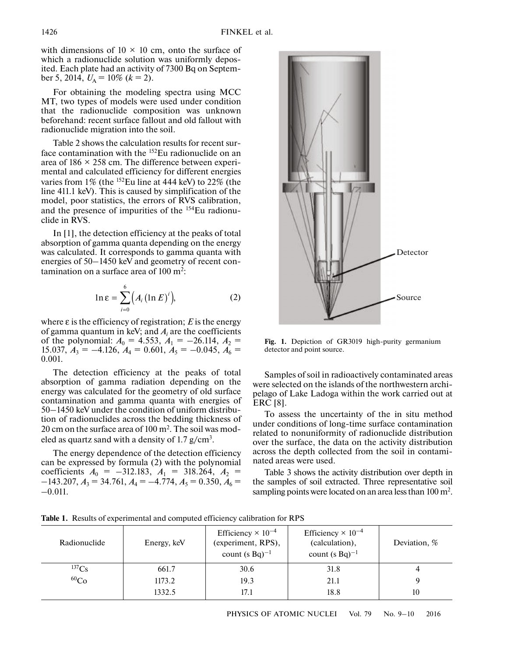with dimensions of  $10 \times 10$  cm, onto the surface of which a radionuclide solution was uniformly deposited. Each plate had an activity of 7300 Bq on September 5, 2014,  $U_A = 10\%$  ( $k = 2$ ).

For obtaining the modeling spectra using MCC MT, two types of models were used under condition that the radionuclide composition was unknown beforehand: recent surface fallout and old fallout with radionuclide migration into the soil.

Table 2 shows the calculation results for recent surface contamination with the <sup>152</sup>Eu radionuclide on an area of  $186 \times 258$  cm. The difference between experimental and calculated efficiency for different energies varies from 1% (the 152Eu line at 444 keV) to 22% (the line 411.1 keV). This is caused by simplification of the model, poor statistics, the errors of RVS calibration, and the presence of impurities of the 154Eu radionuclide in RVS.

In [1], the detection efficiency at the peaks of total absorption of gamma quanta depending on the energy was calculated. It corresponds to gamma quanta with energies of 50–1450 keV and geometry of recent contamination on a surface area of  $100 \text{ m}^2$ :

$$
\ln \varepsilon = \sum_{i=0}^{6} \Big( A_i \left( \ln E \right)^i \Big), \tag{2}
$$

where ε is the efficiency of registration; *E* is the energy of gamma quantum in keV; and *Ai* are the coefficients of the polynomial:  $A_0 = 4.553$ ,  $A_1 = -26.114$ ,  $A_2 =$ 15.037,  $A_3 = -4.126$ ,  $A_4 = 0.601$ ,  $A_5 = -0.045$ ,  $A_6 =$ 0.001.

The detection efficiency at the peaks of total absorption of gamma radiation depending on the energy was calculated for the geometry of old surface contamination and gamma quanta with energies of 50–1450 keV under the condition of uniform distribution of radionuclides across the bedding thickness of 20 cm on the surface area of 100 m<sup>2</sup>. The soil was modeled as quartz sand with a density of  $1.7 \text{ g/cm}^3$ .

The energy dependence of the detection efficiency can be expressed by formula (2) with the polynomial coefficients  $A_0 = -312.183$ ,  $A_1 = 318.264$ ,  $A_2 =$  $-143.207, A_3 = 34.761, A_4 = -4.774, A_5 = 0.350, A_6 =$  $-0.011$ .



**Fig. 1.** Depiction of GR3019 high-purity germanium detector and point source.

Samples of soil in radioactively contaminated areas were selected on the islands of the northwestern archipelago of Lake Ladoga within the work carried out at ERC [8].

To assess the uncertainty of the in situ method under conditions of long-time surface contamination related to nonuniformity of radionuclide distribution over the surface, the data on the activity distribution across the depth collected from the soil in contaminated areas were used.

Table 3 shows the activity distribution over depth in the samples of soil extracted. Three representative soil sampling points were located on an area less than  $100 \text{ m}^2$ .

| Radionuclide     | Energy, keV | Efficiency $\times 10^{-4}$<br>(experiment, RPS),<br>count $(s Bq)^{-1}$ | Efficiency $\times 10^{-4}$<br>(calculation),<br>count (s Bq) <sup><math>-1</math></sup> | Deviation, % |
|------------------|-------------|--------------------------------------------------------------------------|------------------------------------------------------------------------------------------|--------------|
| $^{137}Cs$       | 661.7       | 30.6                                                                     | 31.8                                                                                     | 4            |
| 60 <sub>Co</sub> | 1173.2      | 19.3                                                                     | 21.1                                                                                     |              |
|                  | 1332.5      | 17.1                                                                     | 18.8                                                                                     | 10           |

**Table 1.** Results of experimental and computed efficiency calibration for RPS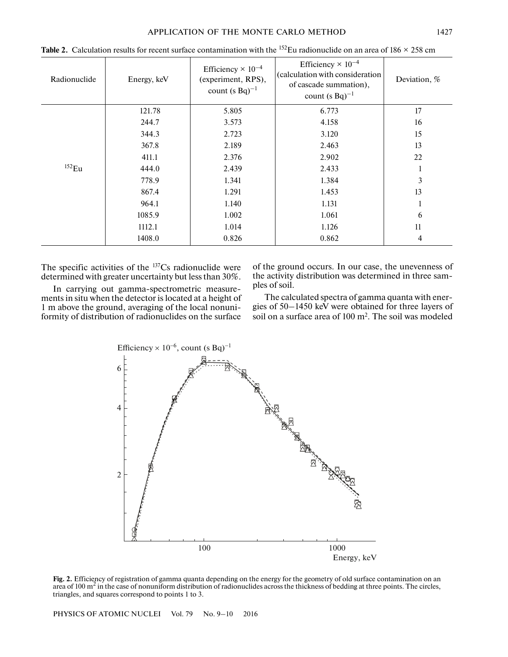| Radionuclide | Energy, keV | Efficiency $\times 10^{-4}$<br>(experiment, RPS),<br>count (s Bq) <sup><math>-1</math></sup> | Efficiency $\times 10^{-4}$<br>(calculation with consideration<br>of cascade summation),<br>count (s Bq) <sup>-1</sup> | Deviation, % |
|--------------|-------------|----------------------------------------------------------------------------------------------|------------------------------------------------------------------------------------------------------------------------|--------------|
| $152$ Eu     | 121.78      | 5.805                                                                                        | 6.773                                                                                                                  | 17           |
|              | 244.7       | 3.573                                                                                        | 4.158                                                                                                                  | 16           |
|              | 344.3       | 2.723                                                                                        | 3.120                                                                                                                  | 15           |
|              | 367.8       | 2.189                                                                                        | 2.463                                                                                                                  | 13           |
|              | 411.1       | 2.376                                                                                        | 2.902                                                                                                                  | 22           |
|              | 444.0       | 2.439                                                                                        | 2.433                                                                                                                  |              |
|              | 778.9       | 1.341                                                                                        | 1.384                                                                                                                  | 3            |
|              | 867.4       | 1.291                                                                                        | 1.453                                                                                                                  | 13           |
|              | 964.1       | 1.140                                                                                        | 1.131                                                                                                                  |              |
|              | 1085.9      | 1.002                                                                                        | 1.061                                                                                                                  | 6            |
|              | 1112.1      | 1.014                                                                                        | 1.126                                                                                                                  | 11           |
|              | 1408.0      | 0.826                                                                                        | 0.862                                                                                                                  | 4            |

**Table 2.** Calculation results for recent surface contamination with the  $^{152}$ Eu radionuclide on an area of 186  $\times$  258 cm

The specific activities of the  $137Cs$  radionuclide were determined with greater uncertainty but less than 30%.

In carrying out gamma-spectrometric measurements in situ when the detector is located at a height of 1 m above the ground, averaging of the local nonuniformity of distribution of radionuclides on the surface of the ground occurs. In our case, the unevenness of the activity distribution was determined in three samples of soil.

The calculated spectra of gamma quanta with energies of 50–1450 keV were obtained for three layers of soil on a surface area of 100 m<sup>2</sup>. The soil was modeled



**Fig. 2.** Efficiency of registration of gamma quanta depending on the energy for the geometry of old surface contamination on an area of 100 m<sup>2</sup> in the case of nonuniform distribution of radionuclides across the thickness of bedding at three points. The circles, triangles, and squares correspond to points 1 to 3.

PHYSICS OF ATOMIC NUCLEI Vol. 79 No. 9-10 2016